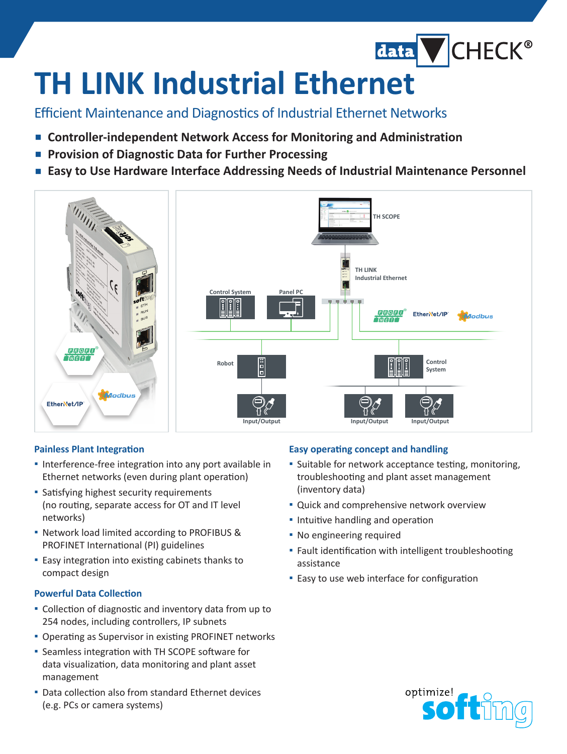# **TH LINK Industrial Ethernet**

### Efficient Maintenance and Diagnostics of Industrial Ethernet Networks

- **▪  Controller-independent Network Access for Monitoring and Administration**
- **▪  Provision of Diagnostic Data for Further Processing**
- **▪  Easy to Use Hardware Interface Addressing Needs of Industrial Maintenance Personnel**



#### **Painless Plant Integration**

- **▪** Interference-free integration into any port available in Ethernet networks (even during plant operation)
- **▪** Satisfying highest security requirements (no routing, separate access for OT and IT level networks)
- **▪** Network load limited according to PROFIBUS & PROFINET International (PI) guidelines
- **▪** Easy integration into existing cabinets thanks to compact design

#### **Powerful Data Collection**

- **▪** Collection of diagnostic and inventory data from up to 254 nodes, including controllers, IP subnets
- **▪** Operating as Supervisor in existing PROFINET networks
- **▪** Seamless integration with TH SCOPE software for data visualization, data monitoring and plant asset management
- **▪** Data collection also from standard Ethernet devices (e.g. PCs or camera systems)

#### **Easy operating concept and handling**

**▪** Suitable for network acceptance testing, monitoring, troubleshooting and plant asset management (inventory data)

data CHECK®

- **▪** Quick and comprehensive network overview
- **▪** Intuitive handling and operation
- **▪** No engineering required
- **▪** Fault identification with intelligent troubleshooting assistance
- **▪** Easy to use web interface for configuration